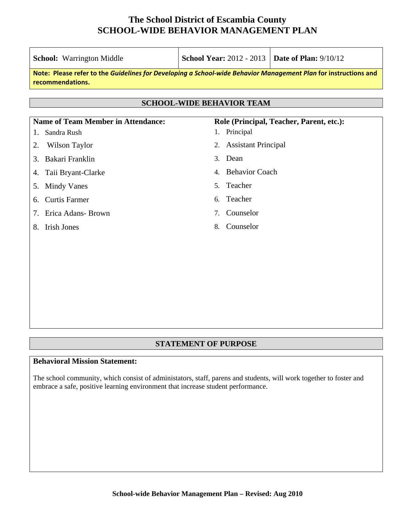**School:** Warrington Middle **School Year:** 2012 - 2013 **Date of Plan:** 9/10/12

| Note: Please refer to the Guidelines for Developing a School-wide Behavior Management Plan for instructions and<br>recommendations. |                       |                                          |  |  |  |  |  |
|-------------------------------------------------------------------------------------------------------------------------------------|-----------------------|------------------------------------------|--|--|--|--|--|
| <b>SCHOOL-WIDE BEHAVIOR TEAM</b>                                                                                                    |                       |                                          |  |  |  |  |  |
| <b>Name of Team Member in Attendance:</b>                                                                                           |                       | Role (Principal, Teacher, Parent, etc.): |  |  |  |  |  |
| 1.                                                                                                                                  | Sandra Rush           | 1. Principal                             |  |  |  |  |  |
|                                                                                                                                     | 2. Wilson Taylor      | 2. Assistant Principal                   |  |  |  |  |  |
|                                                                                                                                     | 3. Bakari Franklin    | 3. Dean                                  |  |  |  |  |  |
|                                                                                                                                     | 4. Taii Bryant-Clarke | 4. Behavior Coach                        |  |  |  |  |  |
|                                                                                                                                     | 5. Mindy Vanes        | 5. Teacher                               |  |  |  |  |  |
|                                                                                                                                     | 6. Curtis Farmer      | 6. Teacher                               |  |  |  |  |  |
|                                                                                                                                     | 7. Erica Adans- Brown | 7. Counselor                             |  |  |  |  |  |
| 8.                                                                                                                                  | <b>Irish Jones</b>    | Counselor<br>8.                          |  |  |  |  |  |
|                                                                                                                                     |                       |                                          |  |  |  |  |  |
|                                                                                                                                     |                       |                                          |  |  |  |  |  |

### **STATEMENT OF PURPOSE**

### **Behavioral Mission Statement:**

The school community, which consist of administators, staff, parens and students, will work together to foster and embrace a safe, positive learning environment that increase student performance.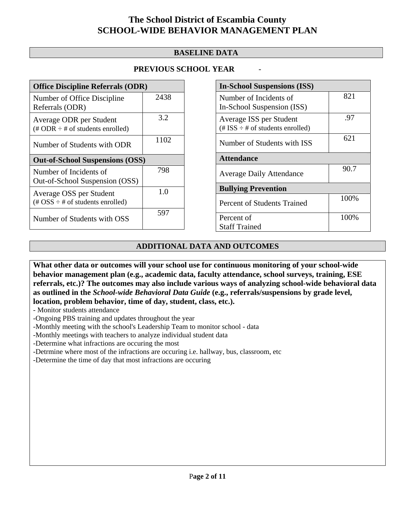### **BASELINE DATA**

### **PREVIOUS SCHOOL YEAR** -

| <b>Office Discipline Referrals (ODR)</b>                                                        |      |  |
|-------------------------------------------------------------------------------------------------|------|--|
| Number of Office Discipline<br>Referrals (ODR)                                                  | 2438 |  |
| Average ODR per Student<br>$(\# ODR \div \# \text{ of students enrolled})$                      | 3.2  |  |
| Number of Students with ODR                                                                     | 1102 |  |
| <b>Out-of-School Suspensions (OSS)</b>                                                          |      |  |
| Number of Incidents of<br>Out-of-School Suspension (OSS)                                        | 798  |  |
| Average OSS per Student<br>$(\text{\#} \text{OSS} \div \text{\#} \text{ of students enrolled})$ | 1.0  |  |
| Number of Students with OSS                                                                     | 597  |  |

| <b>In-School Suspensions (ISS)</b>                                 |      |  |  |  |
|--------------------------------------------------------------------|------|--|--|--|
| Number of Incidents of                                             | 821  |  |  |  |
| In-School Suspension (ISS)                                         |      |  |  |  |
| Average ISS per Student<br>$(\# ISS \div \# of students enrolled)$ | .97  |  |  |  |
| Number of Students with ISS                                        | 621  |  |  |  |
| <b>Attendance</b>                                                  |      |  |  |  |
| <b>Average Daily Attendance</b>                                    | 90.7 |  |  |  |
| <b>Bullying Prevention</b>                                         |      |  |  |  |
| Percent of Students Trained                                        | 100% |  |  |  |
| Percent of                                                         | 100% |  |  |  |
| <b>Staff Trained</b>                                               |      |  |  |  |

### **ADDITIONAL DATA AND OUTCOMES**

**What other data or outcomes will your school use for continuous monitoring of your school-wide behavior management plan (e.g., academic data, faculty attendance, school surveys, training, ESE referrals, etc.)? The outcomes may also include various ways of analyzing school-wide behavioral data as outlined in the** *School-wide Behavioral Data Guide* **(e.g., referrals/suspensions by grade level, location, problem behavior, time of day, student, class, etc.).**

- Monitor students attendance

-Ongoing PBS training and updates throughout the year

-Monthly meeting with the school's Leadership Team to monitor school - data

-Monthly meetings with teachers to analyze individual student data

-Determine what infractions are occuring the most

-Detrmine where most of the infractions are occuring i.e. hallway, bus, classroom, etc

-Determine the time of day that most infractions are occuring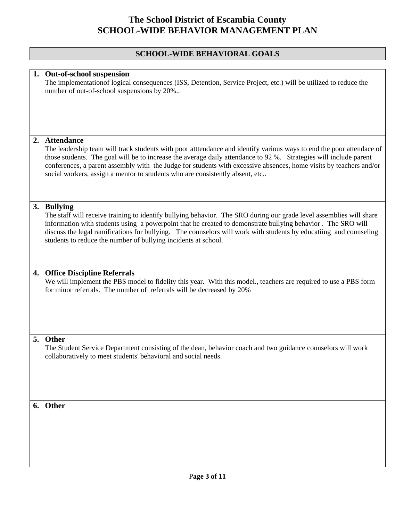#### **SCHOOL-WIDE BEHAVIORAL GOALS**

#### **1. Out-of-school suspension**

The implementationof logical consequences (ISS, Detention, Service Project, etc.) will be utilized to reduce the number of out-of-school suspensions by 20%..

#### **2. Attendance**

The leadership team will track students with poor atttendance and identify various ways to end the poor attendace of those students. The goal will be to increase the average daily attendance to 92 %. Strategies will include parent conferences, a parent assembly with the Judge for students with excessive absences, home visits by teachers and/or social workers, assign a mentor to students who are consistently absent, etc..

#### **3. Bullying**

The staff will receive training to identify bullying behavior. The SRO during our grade level assemblies will share information with students using a powerpoint that he created to demonstrate bullying behavior . The SRO will discuss the legal ramifications for bullying. The counselors will work with students by educatiing and counseling students to reduce the number of bullying incidents at school.

#### **4. Office Discipline Referrals**

We will implement the PBS model to fidelity this year. With this model., teachers are required to use a PBS form for minor referrals. The number of referrals will be decreased by 20%

#### **5. Other**

The Student Service Department consisting of the dean, behavior coach and two guidance counselors will work collaboratively to meet students' behavioral and social needs.

#### **6. Other**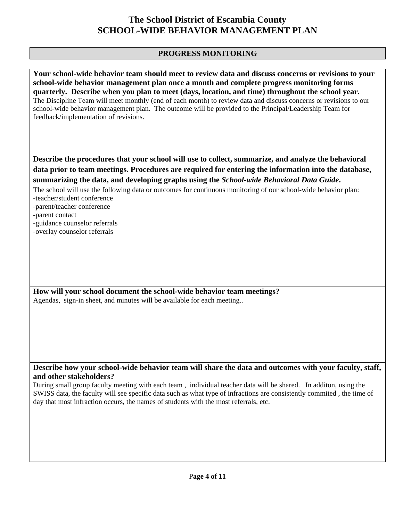### **PROGRESS MONITORING**

**Your school-wide behavior team should meet to review data and discuss concerns or revisions to your school-wide behavior management plan once a month and complete progress monitoring forms quarterly. Describe when you plan to meet (days, location, and time) throughout the school year.**  The Discipline Team will meet monthly (end of each month) to review data and discuss concerns or revisions to our school-wide behavior management plan. The outcome will be provided to the Principal/Leadership Team for feedback/implementation of revisions.

**Describe the procedures that your school will use to collect, summarize, and analyze the behavioral data prior to team meetings. Procedures are required for entering the information into the database, summarizing the data, and developing graphs using the** *School-wide Behavioral Data Guide***.** 

The school will use the following data or outcomes for continuous monitoring of our school-wide behavior plan: -teacher/student conference

-parent/teacher conference

-parent contact

-guidance counselor referrals

-overlay counselor referrals

**How will your school document the school-wide behavior team meetings?** Agendas, sign-in sheet, and minutes will be available for each meeting..

**Describe how your school-wide behavior team will share the data and outcomes with your faculty, staff, and other stakeholders?** 

During small group faculty meeting with each team , individual teacher data will be shared. In additon, using the SWISS data, the faculty will see specific data such as what type of infractions are consistently commited , the time of day that most infraction occurs, the names of students with the most referrals, etc.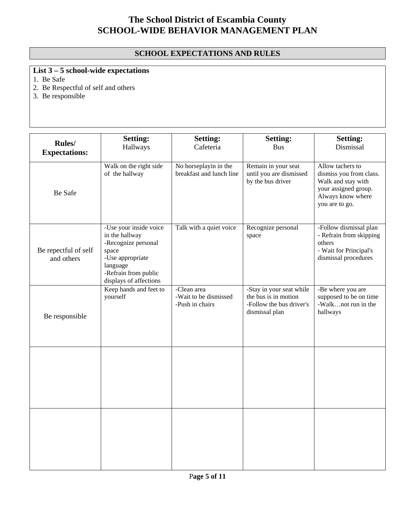### **SCHOOL EXPECTATIONS AND RULES**

# **List 3 – 5 school-wide expectations**

1. Be Safe

2. Be Respectful of self and others

3. Be responsible

| Rules/<br><b>Expectations:</b>     | <b>Setting:</b><br>Hallways                                                                                                                                | <b>Setting:</b><br>Cafeteria                            | <b>Setting:</b><br><b>Bus</b>                                                                  | <b>Setting:</b><br>Dismissal                                                                                                     |
|------------------------------------|------------------------------------------------------------------------------------------------------------------------------------------------------------|---------------------------------------------------------|------------------------------------------------------------------------------------------------|----------------------------------------------------------------------------------------------------------------------------------|
| Be Safe                            | Walk on the right side<br>of the hallway                                                                                                                   | No horseplayin in the<br>breakfast and lunch line       | Remain in your seat<br>until you are dismissed<br>by the bus driver                            | Allow tachers to<br>dismiss you from class.<br>Walk and stay with<br>your assigned group.<br>Always know where<br>you are to go. |
| Be repectful of self<br>and others | -Use your inside voice<br>in the hallway<br>-Recognize personal<br>space<br>-Use appropriate<br>language<br>-Refrain from public<br>displays of affections | Talk with a quiet voice                                 | Recognize personal<br>space                                                                    | -Follow dismissal plan<br>- Refrain from skipping<br>others<br>- Wait for Principal's<br>dismissal procedures                    |
| Be responsible                     | Keep hands and feet to<br>yourself                                                                                                                         | -Clean area<br>-Wait to be dismissed<br>-Push in chairs | -Stay in your seat while<br>the bus is in motion<br>-Follow the bus driver's<br>dismissal plan | -Be where you are<br>supposed to be on time<br>-Walknot run in the<br>hallways                                                   |
|                                    |                                                                                                                                                            |                                                         |                                                                                                |                                                                                                                                  |
|                                    |                                                                                                                                                            |                                                         |                                                                                                |                                                                                                                                  |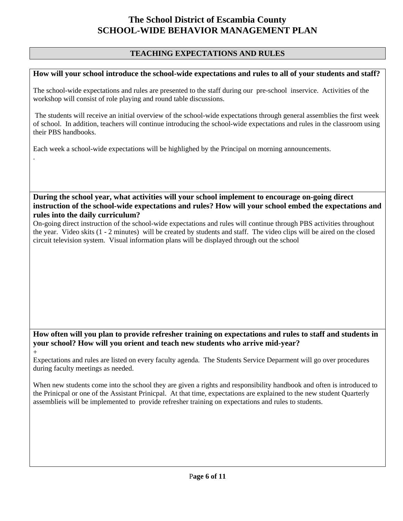### **TEACHING EXPECTATIONS AND RULES**

#### **How will your school introduce the school-wide expectations and rules to all of your students and staff?**

The school-wide expectations and rules are presented to the staff during our pre-school inservice. Activities of the workshop will consist of role playing and round table discussions.

 The students will receive an initial overview of the school-wide expectations through general assemblies the first week of school. In addition, teachers will continue introducing the school-wide expectations and rules in the classroom using their PBS handbooks.

Each week a school-wide expectations will be highlighed by the Principal on morning announcements.

.

 $+$ 

#### **During the school year, what activities will your school implement to encourage on-going direct instruction of the school-wide expectations and rules? How will your school embed the expectations and rules into the daily curriculum?**

On-going direct instruction of the school-wide expectations and rules will continue through PBS activities throughout the year. Video skits (1 - 2 minutes) will be created by students and staff. The video clips will be aired on the closed circuit television system. Visual information plans will be displayed through out the school

### **How often will you plan to provide refresher training on expectations and rules to staff and students in your school? How will you orient and teach new students who arrive mid-year?**

Expectations and rules are listed on every faculty agenda. The Students Service Deparment will go over procedures during faculty meetings as needed.

When new students come into the school they are given a rights and responsibility handbook and often is introduced to the Prinicpal or one of the Assistant Prinicpal. At that time, expectations are explained to the new student Quarterly assemblieis will be implemented to provide refresher training on expectations and rules to students.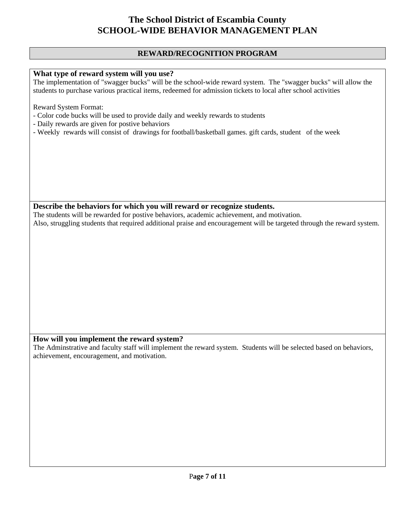#### **REWARD/RECOGNITION PROGRAM**

#### **What type of reward system will you use?**

The implementation of "swagger bucks" will be the school-wide reward system. The "swagger bucks" will allow the students to purchase various practical items, redeemed for admission tickets to local after school activities

Reward System Format:

- Color code bucks will be used to provide daily and weekly rewards to students
- Daily rewards are given for postive behaviors
- Weekly rewards will consist of drawings for football/basketball games. gift cards, student of the week

#### **Describe the behaviors for which you will reward or recognize students.**

The students will be rewarded for postive behaviors, academic achievement, and motivation. Also, struggling students that required additional praise and encouragement will be targeted through the reward system.

#### **How will you implement the reward system?**

The Adminstrative and faculty staff will implement the reward system. Students will be selected based on behaviors, achievement, encouragement, and motivation.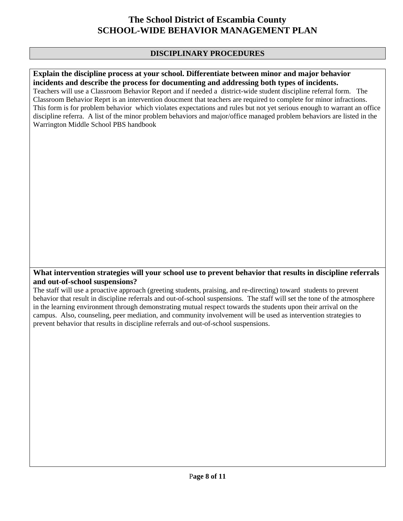### **DISCIPLINARY PROCEDURES**

#### **Explain the discipline process at your school. Differentiate between minor and major behavior incidents and describe the process for documenting and addressing both types of incidents.**

Teachers will use a Classroom Behavior Report and if needed a district-wide student discipline referral form. The Classroom Behavior Reprt is an intervention doucment that teachers are required to complete for minor infractions. This form is for problem behavior which violates expectations and rules but not yet serious enough to warrant an office discipline referra. A list of the minor problem behaviors and major/office managed problem behaviors are listed in the Warrington Middle School PBS handbook

#### **What intervention strategies will your school use to prevent behavior that results in discipline referrals and out-of-school suspensions?**

The staff will use a proactive approach (greeting students, praising, and re-directing) toward students to prevent behavior that result in discipline referrals and out-of-school suspensions. The staff will set the tone of the atmosphere in the learning environment through demonstrating mutual respect towards the students upon their arrival on the campus. Also, counseling, peer mediation, and community involvement will be used as intervention strategies to prevent behavior that results in discipline referrals and out-of-school suspensions.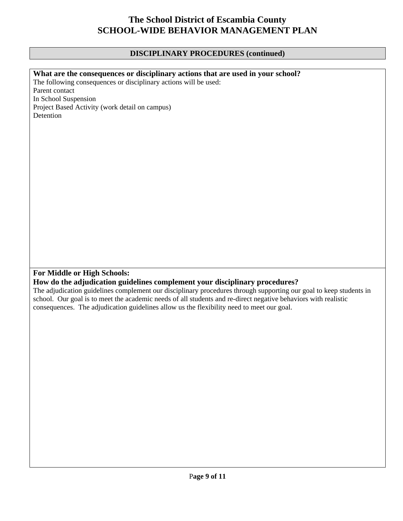## **DISCIPLINARY PROCEDURES (continued)**

| What are the consequences or disciplinary actions that are used in your school?                                    |
|--------------------------------------------------------------------------------------------------------------------|
| The following consequences or disciplinary actions will be used:                                                   |
| Parent contact                                                                                                     |
| In School Suspension                                                                                               |
| Project Based Activity (work detail on campus)                                                                     |
| Detention                                                                                                          |
|                                                                                                                    |
|                                                                                                                    |
|                                                                                                                    |
|                                                                                                                    |
|                                                                                                                    |
|                                                                                                                    |
|                                                                                                                    |
|                                                                                                                    |
|                                                                                                                    |
|                                                                                                                    |
|                                                                                                                    |
|                                                                                                                    |
|                                                                                                                    |
|                                                                                                                    |
|                                                                                                                    |
|                                                                                                                    |
|                                                                                                                    |
|                                                                                                                    |
|                                                                                                                    |
| For Middle or High Schools:                                                                                        |
| How do the adjudication guidelines complement your disciplinary procedures?                                        |
| The adjudication guidelines complement our disciplinary procedures through supporting our goal to keep students in |
| school. Our goal is to meet the academic needs of all students and re-direct negative behaviors with realistic     |
| consequences. The adjudication guidelines allow us the flexibility need to meet our goal.                          |
|                                                                                                                    |
|                                                                                                                    |
|                                                                                                                    |
|                                                                                                                    |
|                                                                                                                    |
|                                                                                                                    |
|                                                                                                                    |
|                                                                                                                    |
|                                                                                                                    |
|                                                                                                                    |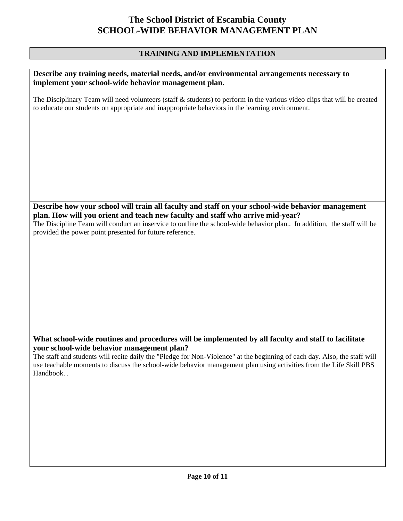### **TRAINING AND IMPLEMENTATION**

| Describe any training needs, material needs, and/or environmental arrangements necessary to<br>implement your school-wide behavior management plan.                                                                                                                                                                                                                      |
|--------------------------------------------------------------------------------------------------------------------------------------------------------------------------------------------------------------------------------------------------------------------------------------------------------------------------------------------------------------------------|
| The Disciplinary Team will need volunteers (staff $\&$ students) to perform in the various video clips that will be created<br>to educate our students on appropriate and inappropriate behaviors in the learning environment.                                                                                                                                           |
|                                                                                                                                                                                                                                                                                                                                                                          |
| Describe how your school will train all faculty and staff on your school-wide behavior management<br>plan. How will you orient and teach new faculty and staff who arrive mid-year?<br>The Discipline Team will conduct an inservice to outline the school-wide behavior plan In addition, the staff will be<br>provided the power point presented for future reference. |

### **What school-wide routines and procedures will be implemented by all faculty and staff to facilitate your school-wide behavior management plan?**

The staff and students will recite daily the "Pledge for Non-Violence" at the beginning of each day. Also, the staff will use teachable moments to discuss the school-wide behavior management plan using activities from the Life Skill PBS Handbook. .